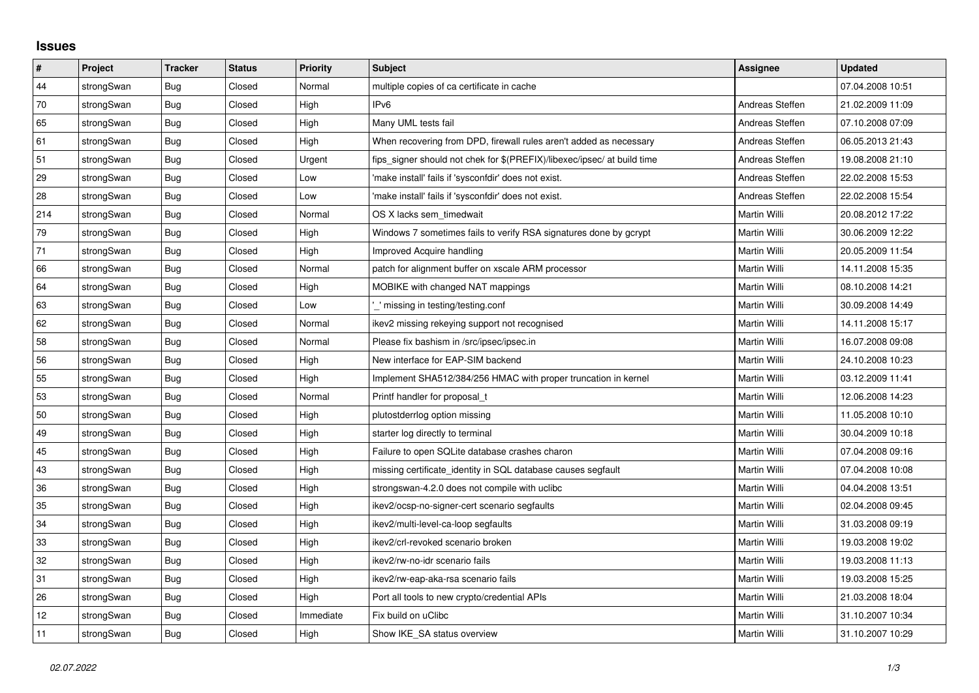## **Issues**

| $\vert$ # | Project    | <b>Tracker</b> | <b>Status</b> | Priority  | <b>Subject</b>                                                          | <b>Assignee</b>     | <b>Updated</b>   |
|-----------|------------|----------------|---------------|-----------|-------------------------------------------------------------------------|---------------------|------------------|
| 44        | strongSwan | Bug            | Closed        | Normal    | multiple copies of ca certificate in cache                              |                     | 07.04.2008 10:51 |
| 70        | strongSwan | Bug            | Closed        | High      | IPv6                                                                    | Andreas Steffen     | 21.02.2009 11:09 |
| 65        | strongSwan | Bug            | Closed        | High      | Many UML tests fail                                                     | Andreas Steffen     | 07.10.2008 07:09 |
| 61        | strongSwan | Bug            | Closed        | High      | When recovering from DPD, firewall rules aren't added as necessary      | Andreas Steffen     | 06.05.2013 21:43 |
| 51        | strongSwan | Bug            | Closed        | Urgent    | fips_signer should not chek for \$(PREFIX)/libexec/ipsec/ at build time | Andreas Steffen     | 19.08.2008 21:10 |
| 29        | strongSwan | Bug            | Closed        | Low       | 'make install' fails if 'sysconfdir' does not exist.                    | Andreas Steffen     | 22.02.2008 15:53 |
| 28        | strongSwan | Bug            | Closed        | Low       | 'make install' fails if 'sysconfdir' does not exist.                    | Andreas Steffen     | 22.02.2008 15:54 |
| 214       | strongSwan | Bug            | Closed        | Normal    | OS X lacks sem_timedwait                                                | Martin Willi        | 20.08.2012 17:22 |
| 79        | strongSwan | Bug            | Closed        | High      | Windows 7 sometimes fails to verify RSA signatures done by gcrypt       | Martin Willi        | 30.06.2009 12:22 |
| 71        | strongSwan | Bug            | Closed        | High      | <b>Improved Acquire handling</b>                                        | Martin Willi        | 20.05.2009 11:54 |
| 66        | strongSwan | Bug            | Closed        | Normal    | patch for alignment buffer on xscale ARM processor                      | Martin Willi        | 14.11.2008 15:35 |
| 64        | strongSwan | Bug            | Closed        | High      | MOBIKE with changed NAT mappings                                        | Martin Willi        | 08.10.2008 14:21 |
| 63        | strongSwan | Bug            | Closed        | Low       | ' missing in testing/testing.conf                                       | Martin Willi        | 30.09.2008 14:49 |
| 62        | strongSwan | <b>Bug</b>     | Closed        | Normal    | ikev2 missing rekeying support not recognised                           | Martin Willi        | 14.11.2008 15:17 |
| 58        | strongSwan | Bug            | Closed        | Normal    | Please fix bashism in /src/ipsec/ipsec.in                               | Martin Willi        | 16.07.2008 09:08 |
| 56        | strongSwan | <b>Bug</b>     | Closed        | High      | New interface for EAP-SIM backend                                       | Martin Willi        | 24.10.2008 10:23 |
| 55        | strongSwan | Bug            | Closed        | High      | Implement SHA512/384/256 HMAC with proper truncation in kernel          | Martin Willi        | 03.12.2009 11:41 |
| 53        | strongSwan | Bug            | Closed        | Normal    | Printf handler for proposal t                                           | Martin Willi        | 12.06.2008 14:23 |
| 50        | strongSwan | Bug            | Closed        | High      | plutostderrlog option missing                                           | Martin Willi        | 11.05.2008 10:10 |
| 49        | strongSwan | Bug            | Closed        | High      | starter log directly to terminal                                        | Martin Willi        | 30.04.2009 10:18 |
| 45        | strongSwan | Bug            | Closed        | High      | Failure to open SQLite database crashes charon                          | Martin Willi        | 07.04.2008 09:16 |
| 43        | strongSwan | Bug            | Closed        | High      | missing certificate_identity in SQL database causes segfault            | Martin Willi        | 07.04.2008 10:08 |
| 36        | strongSwan | Bug            | Closed        | High      | strongswan-4.2.0 does not compile with uclibc                           | Martin Willi        | 04.04.2008 13:51 |
| 35        | strongSwan | <b>Bug</b>     | Closed        | High      | ikev2/ocsp-no-signer-cert scenario segfaults                            | Martin Willi        | 02.04.2008 09:45 |
| 34        | strongSwan | <b>Bug</b>     | Closed        | High      | ikev2/multi-level-ca-loop segfaults                                     | Martin Willi        | 31.03.2008 09:19 |
| 33        | strongSwan | Bug            | Closed        | High      | ikev2/crl-revoked scenario broken                                       | Martin Willi        | 19.03.2008 19:02 |
| 32        | strongSwan | Bug            | Closed        | High      | ikev2/rw-no-idr scenario fails                                          | Martin Willi        | 19.03.2008 11:13 |
| 31        | strongSwan | Bug            | Closed        | High      | ikev2/rw-eap-aka-rsa scenario fails                                     | Martin Willi        | 19.03.2008 15:25 |
| 26        | strongSwan | Bug            | Closed        | High      | Port all tools to new crypto/credential APIs                            | Martin Willi        | 21.03.2008 18:04 |
| 12        | strongSwan | Bug            | Closed        | Immediate | Fix build on uClibc                                                     | <b>Martin Willi</b> | 31.10.2007 10:34 |
| 11        | strongSwan | Bug            | Closed        | High      | Show IKE SA status overview                                             | Martin Willi        | 31.10.2007 10:29 |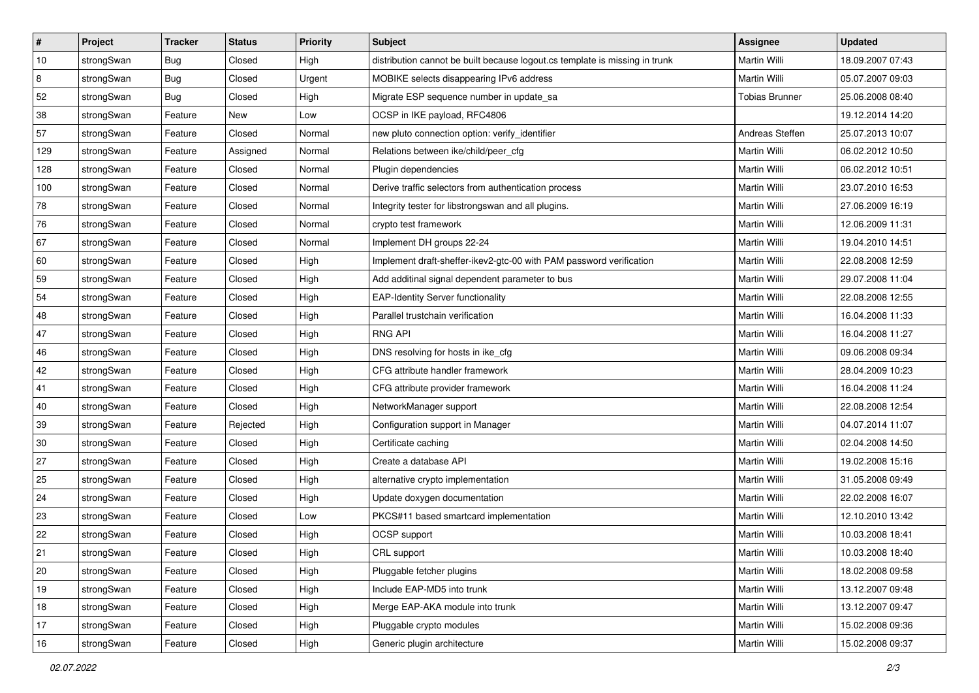| $\vert$ # | Project    | <b>Tracker</b> | <b>Status</b> | <b>Priority</b> | Subject                                                                     | Assignee              | <b>Updated</b>   |
|-----------|------------|----------------|---------------|-----------------|-----------------------------------------------------------------------------|-----------------------|------------------|
| 10        | strongSwan | <b>Bug</b>     | Closed        | High            | distribution cannot be built because logout.cs template is missing in trunk | Martin Willi          | 18.09.2007 07:43 |
| 8         | strongSwan | Bug            | Closed        | Urgent          | MOBIKE selects disappearing IPv6 address                                    | <b>Martin Willi</b>   | 05.07.2007 09:03 |
| 52        | strongSwan | Bug            | Closed        | High            | Migrate ESP sequence number in update_sa                                    | <b>Tobias Brunner</b> | 25.06.2008 08:40 |
| 38        | strongSwan | Feature        | New           | Low             | OCSP in IKE payload, RFC4806                                                |                       | 19.12.2014 14:20 |
| 57        | strongSwan | Feature        | Closed        | Normal          | new pluto connection option: verify_identifier                              | Andreas Steffen       | 25.07.2013 10:07 |
| 129       | strongSwan | Feature        | Assigned      | Normal          | Relations between ike/child/peer_cfg                                        | Martin Willi          | 06.02.2012 10:50 |
| 128       | strongSwan | Feature        | Closed        | Normal          | Plugin dependencies                                                         | Martin Willi          | 06.02.2012 10:51 |
| 100       | strongSwan | Feature        | Closed        | Normal          | Derive traffic selectors from authentication process                        | Martin Willi          | 23.07.2010 16:53 |
| 78        | strongSwan | Feature        | Closed        | Normal          | Integrity tester for libstrongswan and all plugins.                         | Martin Willi          | 27.06.2009 16:19 |
| 76        | strongSwan | Feature        | Closed        | Normal          | crypto test framework                                                       | <b>Martin Willi</b>   | 12.06.2009 11:31 |
| 67        | strongSwan | Feature        | Closed        | Normal          | Implement DH groups 22-24                                                   | Martin Willi          | 19.04.2010 14:51 |
| 60        | strongSwan | Feature        | Closed        | High            | Implement draft-sheffer-ikev2-gtc-00 with PAM password verification         | <b>Martin Willi</b>   | 22.08.2008 12:59 |
| 59        | strongSwan | Feature        | Closed        | High            | Add additinal signal dependent parameter to bus                             | Martin Willi          | 29.07.2008 11:04 |
| 54        | strongSwan | Feature        | Closed        | High            | <b>EAP-Identity Server functionality</b>                                    | Martin Willi          | 22.08.2008 12:55 |
| 48        | strongSwan | Feature        | Closed        | High            | Parallel trustchain verification                                            | <b>Martin Willi</b>   | 16.04.2008 11:33 |
| 47        | strongSwan | Feature        | Closed        | High            | <b>RNG API</b>                                                              | Martin Willi          | 16.04.2008 11:27 |
| 46        | strongSwan | Feature        | Closed        | High            | DNS resolving for hosts in ike_cfg                                          | Martin Willi          | 09.06.2008 09:34 |
| 42        | strongSwan | Feature        | Closed        | High            | CFG attribute handler framework                                             | Martin Willi          | 28.04.2009 10:23 |
| 41        | strongSwan | Feature        | Closed        | High            | CFG attribute provider framework                                            | Martin Willi          | 16.04.2008 11:24 |
| 40        | strongSwan | Feature        | Closed        | High            | NetworkManager support                                                      | Martin Willi          | 22.08.2008 12:54 |
| 39        | strongSwan | Feature        | Rejected      | High            | Configuration support in Manager                                            | Martin Willi          | 04.07.2014 11:07 |
| 30        | strongSwan | Feature        | Closed        | High            | Certificate caching                                                         | Martin Willi          | 02.04.2008 14:50 |
| 27        | strongSwan | Feature        | Closed        | High            | Create a database API                                                       | <b>Martin Willi</b>   | 19.02.2008 15:16 |
| 25        | strongSwan | Feature        | Closed        | High            | alternative crypto implementation                                           | Martin Willi          | 31.05.2008 09:49 |
| 24        | strongSwan | Feature        | Closed        | High            | Update doxygen documentation                                                | Martin Willi          | 22.02.2008 16:07 |
| 23        | strongSwan | Feature        | Closed        | Low             | PKCS#11 based smartcard implementation                                      | <b>Martin Willi</b>   | 12.10.2010 13:42 |
| 22        | strongSwan | Feature        | Closed        | High            | OCSP support                                                                | Martin Willi          | 10.03.2008 18:41 |
| 21        | strongSwan | Feature        | Closed        | High            | CRL support                                                                 | Martin Willi          | 10.03.2008 18:40 |
| 20        | strongSwan | Feature        | Closed        | High            | Pluggable fetcher plugins                                                   | Martin Willi          | 18.02.2008 09:58 |
| 19        | strongSwan | Feature        | Closed        | High            | Include EAP-MD5 into trunk                                                  | Martin Willi          | 13.12.2007 09:48 |
| $18\,$    | strongSwan | Feature        | Closed        | High            | Merge EAP-AKA module into trunk                                             | Martin Willi          | 13.12.2007 09:47 |
| 17        | strongSwan | Feature        | Closed        | High            | Pluggable crypto modules                                                    | Martin Willi          | 15.02.2008 09:36 |
| 16        | strongSwan | Feature        | Closed        | High            | Generic plugin architecture                                                 | Martin Willi          | 15.02.2008 09:37 |